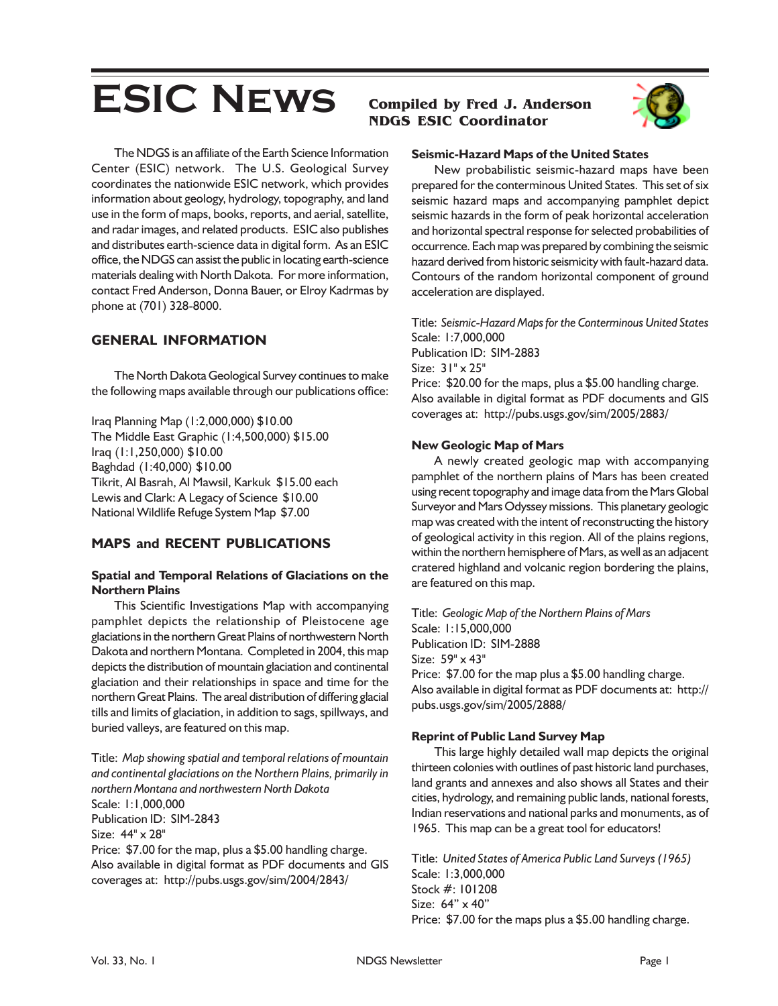# **ESIC NEWS Compiled by Fred J. Anderson**

# **NDGS ESIC Coordinator**



The NDGS is an affiliate of the Earth Science Information Center (ESIC) network. The U.S. Geological Survey coordinates the nationwide ESIC network, which provides information about geology, hydrology, topography, and land use in the form of maps, books, reports, and aerial, satellite, and radar images, and related products. ESIC also publishes and distributes earth-science data in digital form. As an ESIC office, the NDGS can assist the public in locating earth-science materials dealing with North Dakota. For more information, contact Fred Anderson, Donna Bauer, or Elroy Kadrmas by phone at (701) 328-8000.

## **GENERAL INFORMATION**

The North Dakota Geological Survey continues to make the following maps available through our publications office:

Iraq Planning Map (1:2,000,000) \$10.00 The Middle East Graphic (1:4,500,000) \$15.00 Iraq (1:1,250,000) \$10.00 Baghdad (1:40,000) \$10.00 Tikrit, Al Basrah, Al Mawsil, Karkuk \$15.00 each Lewis and Clark: A Legacy of Science \$10.00 National Wildlife Refuge System Map \$7.00

# **MAPS and RECENT PUBLICATIONS**

#### **Spatial and Temporal Relations of Glaciations on the Northern Plains**

This Scientific Investigations Map with accompanying pamphlet depicts the relationship of Pleistocene age glaciations in the northern Great Plains of northwestern North Dakota and northern Montana. Completed in 2004, this map depicts the distribution of mountain glaciation and continental glaciation and their relationships in space and time for the northern Great Plains. The areal distribution of differing glacial tills and limits of glaciation, in addition to sags, spillways, and buried valleys, are featured on this map.

Title: *Map showing spatial and temporal relations of mountain and continental glaciations on the Northern Plains, primarily in northern Montana and northwestern North Dakota* Scale: 1:1,000,000 Publication ID: SIM-2843 Size: 44" x 28" Price: \$7.00 for the map, plus a \$5.00 handling charge. Also available in digital format as PDF documents and GIS coverages at: http://pubs.usgs.gov/sim/2004/2843/

#### **Seismic-Hazard Maps of the United States**

New probabilistic seismic-hazard maps have been prepared for the conterminous United States. This set of six seismic hazard maps and accompanying pamphlet depict seismic hazards in the form of peak horizontal acceleration and horizontal spectral response for selected probabilities of occurrence. Each map was prepared by combining the seismic hazard derived from historic seismicity with fault-hazard data. Contours of the random horizontal component of ground acceleration are displayed.

Title: *Seismic-Hazard Maps for the Conterminous United States* Scale: 1:7,000,000 Publication ID: SIM-2883 Size: 31" x 25" Price: \$20.00 for the maps, plus a \$5.00 handling charge. Also available in digital format as PDF documents and GIS coverages at: http://pubs.usgs.gov/sim/2005/2883/

#### **New Geologic Map of Mars**

A newly created geologic map with accompanying pamphlet of the northern plains of Mars has been created using recent topography and image data from the Mars Global Surveyor and Mars Odyssey missions. This planetary geologic map was created with the intent of reconstructing the history of geological activity in this region. All of the plains regions, within the northern hemisphere of Mars, as well as an adjacent cratered highland and volcanic region bordering the plains, are featured on this map.

Title: *Geologic Map of the Northern Plains of Mars* Scale: 1:15,000,000 Publication ID: SIM-2888 Size: 59" x 43" Price: \$7.00 for the map plus a \$5.00 handling charge. Also available in digital format as PDF documents at: http:// pubs.usgs.gov/sim/2005/2888/

#### **Reprint of Public Land Survey Map**

This large highly detailed wall map depicts the original thirteen colonies with outlines of past historic land purchases, land grants and annexes and also shows all States and their cities, hydrology, and remaining public lands, national forests, Indian reservations and national parks and monuments, as of 1965. This map can be a great tool for educators!

Title: *United States of America Public Land Surveys (1965)* Scale: 1:3,000,000 Stock #: 101208 Size: 64" x 40" Price: \$7.00 for the maps plus a \$5.00 handling charge.